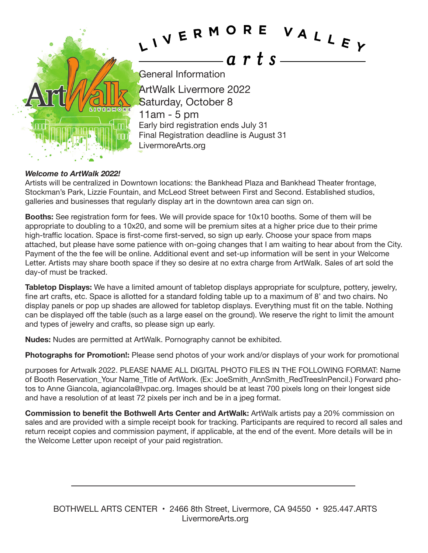

## *Welcome to ArtWalk 2022!*

Artists will be centralized in Downtown locations: the Bankhead Plaza and Bankhead Theater frontage, Stockman's Park, Lizzie Fountain, and McLeod Street between First and Second. Established studios, galleries and businesses that regularly display art in the downtown area can sign on.

**Booths:** See registration form for fees. We will provide space for 10x10 booths. Some of them will be appropriate to doubling to a 10x20, and some will be premium sites at a higher price due to their prime high-traffic location. Space is first-come first-served, so sign up early. Choose your space from maps attached, but please have some patience with on-going changes that I am waiting to hear about from the City. Payment of the the fee will be online. Additional event and set-up information will be sent in your Welcome Letter. Artists may share booth space if they so desire at no extra charge from ArtWalk. Sales of art sold the day-of must be tracked.

**Tabletop Displays:** We have a limited amount of tabletop displays appropriate for sculpture, pottery, jewelry, fine art crafts, etc. Space is allotted for a standard folding table up to a maximum of 8' and two chairs. No display panels or pop up shades are allowed for tabletop displays. Everything must fit on the table. Nothing can be displayed off the table (such as a large easel on the ground). We reserve the right to limit the amount and types of jewelry and crafts, so please sign up early.

**Nudes:** Nudes are permitted at ArtWalk. Pornography cannot be exhibited.

**Photographs for Promotion!:** Please send photos of your work and/or displays of your work for promotional

purposes for Artwalk 2022. PLEASE NAME ALL DIGITAL PHOTO FILES IN THE FOLLOWING FORMAT: Name of Booth Reservation Your Name Title of ArtWork. (Ex: JoeSmith AnnSmith\_RedTreesInPencil.) Forward photos to Anne Giancola, agiancola@lvpac.org. Images should be at least 700 pixels long on their longest side and have a resolution of at least 72 pixels per inch and be in a jpeg format.

**Commission to benefit the Bothwell Arts Center and ArtWalk:** ArtWalk artists pay a 20% commission on sales and are provided with a simple receipt book for tracking. Participants are required to record all sales and return receipt copies and commission payment, if applicable, at the end of the event. More details will be in the Welcome Letter upon receipt of your paid registration.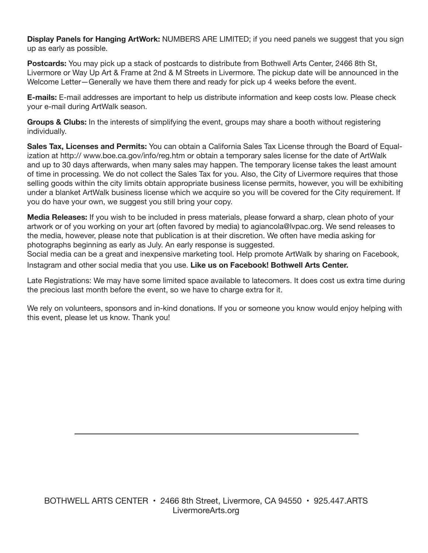**Display Panels for Hanging ArtWork:** NUMBERS ARE LIMITED; if you need panels we suggest that you sign up as early as possible.

**Postcards:** You may pick up a stack of postcards to distribute from Bothwell Arts Center, 2466 8th St, Livermore or Way Up Art & Frame at 2nd & M Streets in Livermore. The pickup date will be announced in the Welcome Letter—Generally we have them there and ready for pick up 4 weeks before the event.

**E-mails:** E-mail addresses are important to help us distribute information and keep costs low. Please check your e-mail during ArtWalk season.

**Groups & Clubs:** In the interests of simplifying the event, groups may share a booth without registering individually.

**Sales Tax, Licenses and Permits:** You can obtain a California Sales Tax License through the Board of Equalization at http:// www.boe.ca.gov/info/reg.htm or obtain a temporary sales license for the date of ArtWalk and up to 30 days afterwards, when many sales may happen. The temporary license takes the least amount of time in processing. We do not collect the Sales Tax for you. Also, the City of Livermore requires that those selling goods within the city limits obtain appropriate business license permits, however, you will be exhibiting under a blanket ArtWalk business license which we acquire so you will be covered for the City requirement. If you do have your own, we suggest you still bring your copy.

**Media Releases:** If you wish to be included in press materials, please forward a sharp, clean photo of your artwork or of you working on your art (often favored by media) to agiancola@lvpac.org. We send releases to the media, however, please note that publication is at their discretion. We often have media asking for photographs beginning as early as July. An early response is suggested.

Social media can be a great and inexpensive marketing tool. Help promote ArtWalk by sharing on Facebook, Instagram and other social media that you use. **Like us on Facebook! Bothwell Arts Center.**

Late Registrations: We may have some limited space available to latecomers. It does cost us extra time during the precious last month before the event, so we have to charge extra for it.

We rely on volunteers, sponsors and in-kind donations. If you or someone you know would enjoy helping with this event, please let us know. Thank you!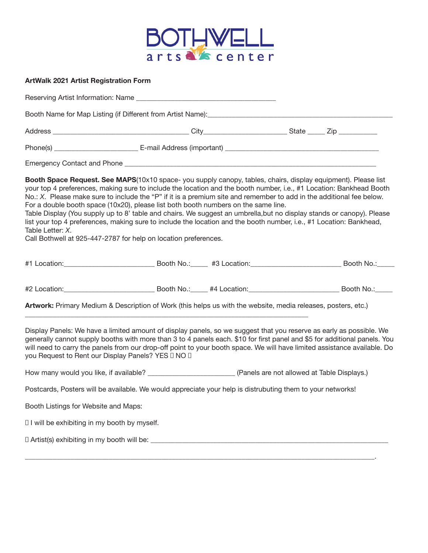

| <b>ArtWalk 2021 Artist Registration Form</b>  |                                                                                                                                                                                                                                                                                                                                                                                                                                                                                                                                                                                                                                                                                                                                                                     |  |  |
|-----------------------------------------------|---------------------------------------------------------------------------------------------------------------------------------------------------------------------------------------------------------------------------------------------------------------------------------------------------------------------------------------------------------------------------------------------------------------------------------------------------------------------------------------------------------------------------------------------------------------------------------------------------------------------------------------------------------------------------------------------------------------------------------------------------------------------|--|--|
|                                               |                                                                                                                                                                                                                                                                                                                                                                                                                                                                                                                                                                                                                                                                                                                                                                     |  |  |
|                                               | Booth Name for Map Listing (if Different from Artist Name): [2000] [2000] [2000] [3000] [3000] [3000] [3000] [                                                                                                                                                                                                                                                                                                                                                                                                                                                                                                                                                                                                                                                      |  |  |
|                                               |                                                                                                                                                                                                                                                                                                                                                                                                                                                                                                                                                                                                                                                                                                                                                                     |  |  |
|                                               |                                                                                                                                                                                                                                                                                                                                                                                                                                                                                                                                                                                                                                                                                                                                                                     |  |  |
|                                               |                                                                                                                                                                                                                                                                                                                                                                                                                                                                                                                                                                                                                                                                                                                                                                     |  |  |
| Table Letter: X.                              | Booth Space Request. See MAPS(10x10 space-you supply canopy, tables, chairs, display equipment). Please list<br>your top 4 preferences, making sure to include the location and the booth number, i.e., #1 Location: Bankhead Booth<br>No.: X. Please make sure to include the "P" if it is a premium site and remember to add in the additional fee below.<br>For a double booth space (10x20), please list both booth numbers on the same line.<br>Table Display (You supply up to 8' table and chairs. We suggest an umbrella,but no display stands or canopy). Please<br>list your top 4 preferences, making sure to include the location and the booth number, i.e., #1 Location: Bankhead,<br>Call Bothwell at 925-447-2787 for help on location preferences. |  |  |
|                                               |                                                                                                                                                                                                                                                                                                                                                                                                                                                                                                                                                                                                                                                                                                                                                                     |  |  |
|                                               |                                                                                                                                                                                                                                                                                                                                                                                                                                                                                                                                                                                                                                                                                                                                                                     |  |  |
|                                               | Artwork: Primary Medium & Description of Work (this helps us with the website, media releases, posters, etc.)                                                                                                                                                                                                                                                                                                                                                                                                                                                                                                                                                                                                                                                       |  |  |
|                                               | Display Panels: We have a limited amount of display panels, so we suggest that you reserve as early as possible. We<br>generally cannot supply booths with more than 3 to 4 panels each. \$10 for first panel and \$5 for additional panels. You<br>will need to carry the panels from our drop-off point to your booth space. We will have limited assistance available. Do<br>you Request to Rent our Display Panels? YES II NO II                                                                                                                                                                                                                                                                                                                                |  |  |
|                                               | How many would you like, if available? _____________________________(Panels are not allowed at Table Displays.)                                                                                                                                                                                                                                                                                                                                                                                                                                                                                                                                                                                                                                                     |  |  |
|                                               | Postcards, Posters will be available. We would appreciate your help is distrubuting them to your networks!                                                                                                                                                                                                                                                                                                                                                                                                                                                                                                                                                                                                                                                          |  |  |
| Booth Listings for Website and Maps:          |                                                                                                                                                                                                                                                                                                                                                                                                                                                                                                                                                                                                                                                                                                                                                                     |  |  |
| I I will be exhibiting in my booth by myself. |                                                                                                                                                                                                                                                                                                                                                                                                                                                                                                                                                                                                                                                                                                                                                                     |  |  |
|                                               |                                                                                                                                                                                                                                                                                                                                                                                                                                                                                                                                                                                                                                                                                                                                                                     |  |  |
|                                               |                                                                                                                                                                                                                                                                                                                                                                                                                                                                                                                                                                                                                                                                                                                                                                     |  |  |